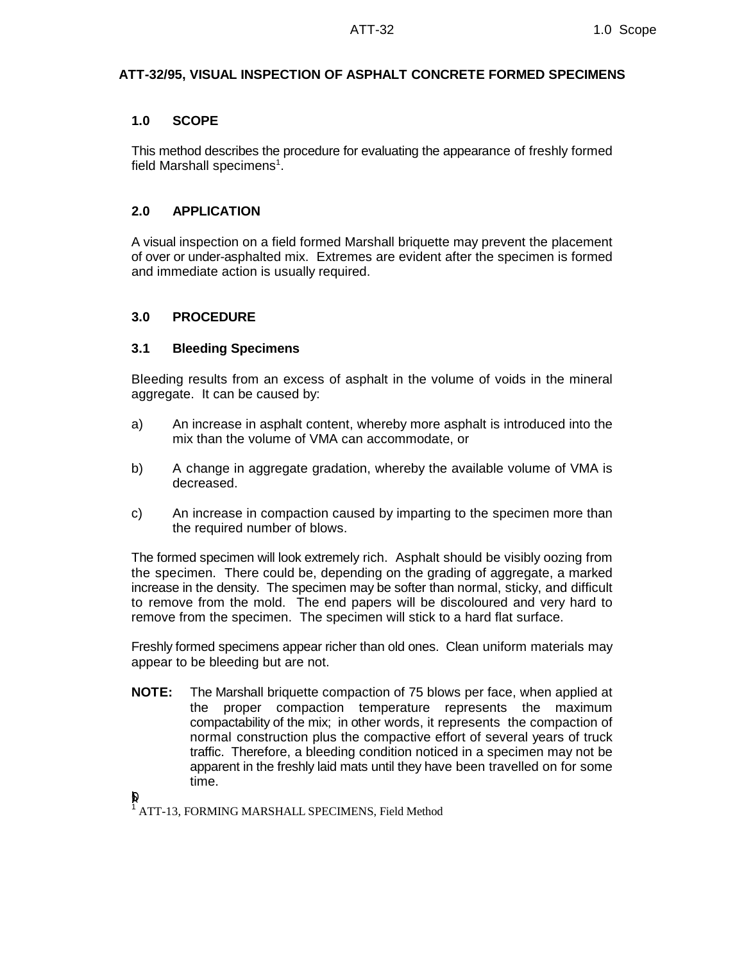# **ATT-32/95, VISUAL INSPECTION OF ASPHALT CONCRETE FORMED SPECIMENS**

### **1.0 SCOPE**

This method describes the procedure for evaluating the appearance of freshly formed field Marshall specimens<sup>1</sup>.

### **2.0 APPLICATION**

A visual inspection on a field formed Marshall briquette may prevent the placement of over or under-asphalted mix. Extremes are evident after the specimen is formed and immediate action is usually required.

### **3.0 PROCEDURE**

### **3.1 Bleeding Specimens**

Bleeding results from an excess of asphalt in the volume of voids in the mineral aggregate. It can be caused by:

- a) An increase in asphalt content, whereby more asphalt is introduced into the mix than the volume of VMA can accommodate, or
- b) A change in aggregate gradation, whereby the available volume of VMA is decreased.
- c) An increase in compaction caused by imparting to the specimen more than the required number of blows.

The formed specimen will look extremely rich. Asphalt should be visibly oozing from the specimen. There could be, depending on the grading of aggregate, a marked increase in the density. The specimen may be softer than normal, sticky, and difficult to remove from the mold. The end papers will be discoloured and very hard to remove from the specimen. The specimen will stick to a hard flat surface.

Freshly formed specimens appear richer than old ones. Clean uniform materials may appear to be bleeding but are not.

**NOTE:** The Marshall briquette compaction of 75 blows per face, when applied at the proper compaction temperature represents the maximum compactability of the mix; in other words, it represents the compaction of normal construction plus the compactive effort of several years of truck traffic. Therefore, a bleeding condition noticed in a specimen may not be apparent in the freshly laid mats until they have been travelled on for some time.

 $\mathbf{p}$ 

<sup>1</sup> ATT-13, FORMING MARSHALL SPECIMENS, Field Method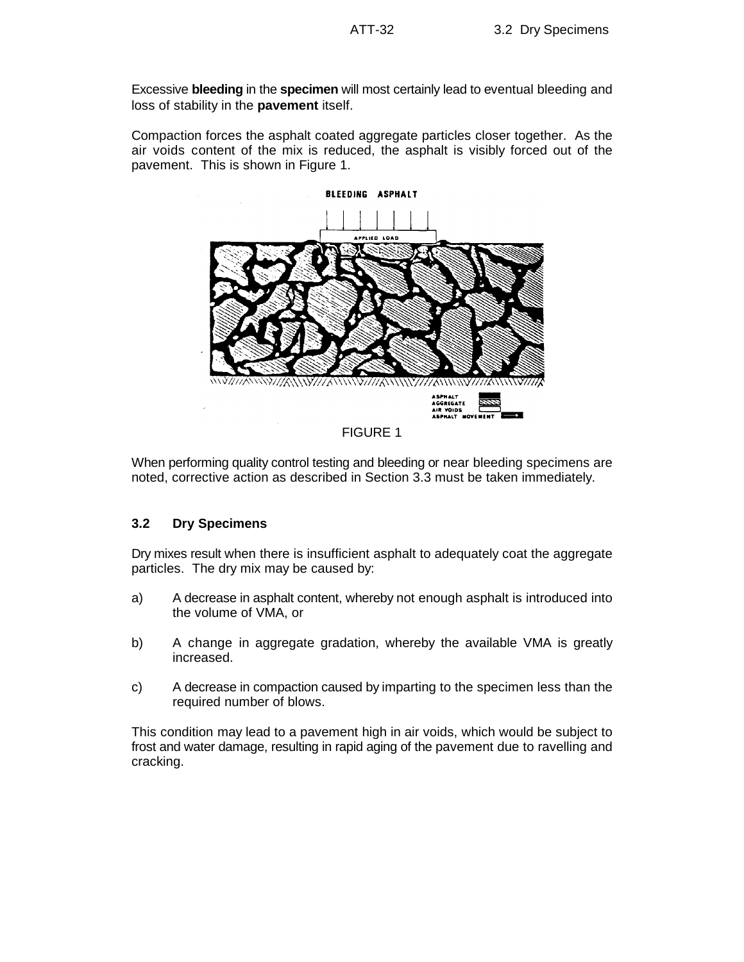Excessive **bleeding** in the **specimen** will most certainly lead to eventual bleeding and loss of stability in the **pavement** itself.

Compaction forces the asphalt coated aggregate particles closer together. As the air voids content of the mix is reduced, the asphalt is visibly forced out of the pavement. This is shown in Figure 1.



When performing quality control testing and bleeding or near bleeding specimens are noted, corrective action as described in Section 3.3 must be taken immediately.

### **3.2 Dry Specimens**

Dry mixes result when there is insufficient asphalt to adequately coat the aggregate particles. The dry mix may be caused by:

- a) A decrease in asphalt content, whereby not enough asphalt is introduced into the volume of VMA, or
- b) A change in aggregate gradation, whereby the available VMA is greatly increased.
- c) A decrease in compaction caused by imparting to the specimen less than the required number of blows.

This condition may lead to a pavement high in air voids, which would be subject to frost and water damage, resulting in rapid aging of the pavement due to ravelling and cracking.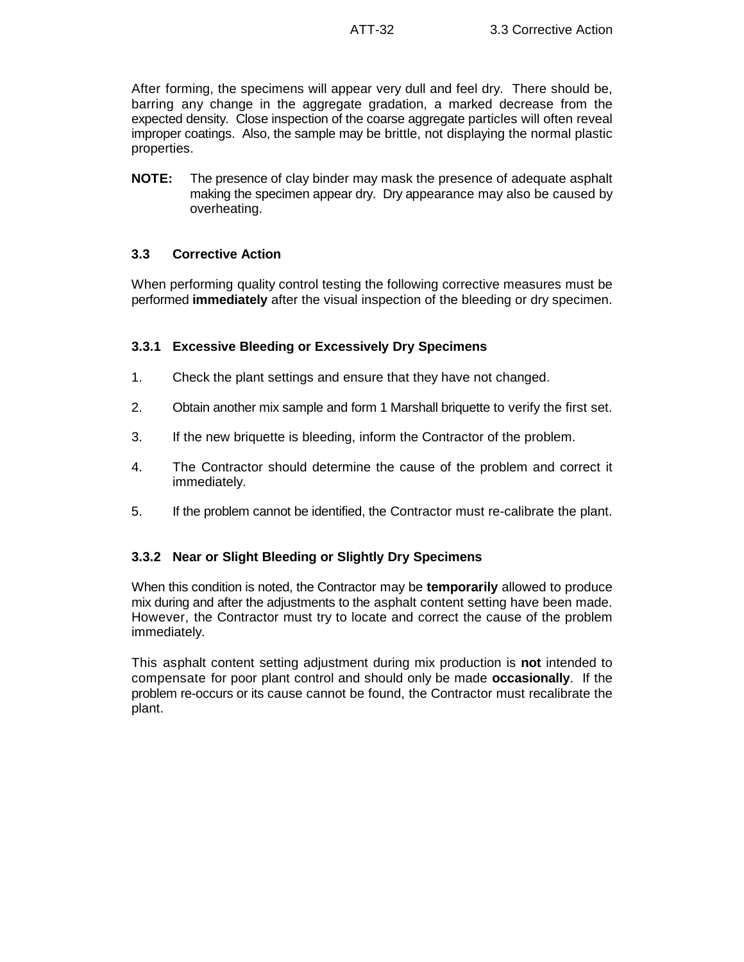After forming, the specimens will appear very dull and feel dry. There should be, barring any change in the aggregate gradation, a marked decrease from the expected density. Close inspection of the coarse aggregate particles will often reveal improper coatings. Also, the sample may be brittle, not displaying the normal plastic properties.

**NOTE:** The presence of clay binder may mask the presence of adequate asphalt making the specimen appear dry. Dry appearance may also be caused by overheating.

# **3.3 Corrective Action**

When performing quality control testing the following corrective measures must be performed **immediately** after the visual inspection of the bleeding or dry specimen.

### **3.3.1 Excessive Bleeding or Excessively Dry Specimens**

- 1. Check the plant settings and ensure that they have not changed.
- 2. Obtain another mix sample and form 1 Marshall briquette to verify the first set.
- 3. If the new briquette is bleeding, inform the Contractor of the problem.
- 4. The Contractor should determine the cause of the problem and correct it immediately.
- 5. If the problem cannot be identified, the Contractor must re-calibrate the plant.

# **3.3.2 Near or Slight Bleeding or Slightly Dry Specimens**

When this condition is noted, the Contractor may be **temporarily** allowed to produce mix during and after the adjustments to the asphalt content setting have been made. However, the Contractor must try to locate and correct the cause of the problem immediately.

This asphalt content setting adjustment during mix production is **not** intended to compensate for poor plant control and should only be made **occasionally**. If the problem re-occurs or its cause cannot be found, the Contractor must recalibrate the plant.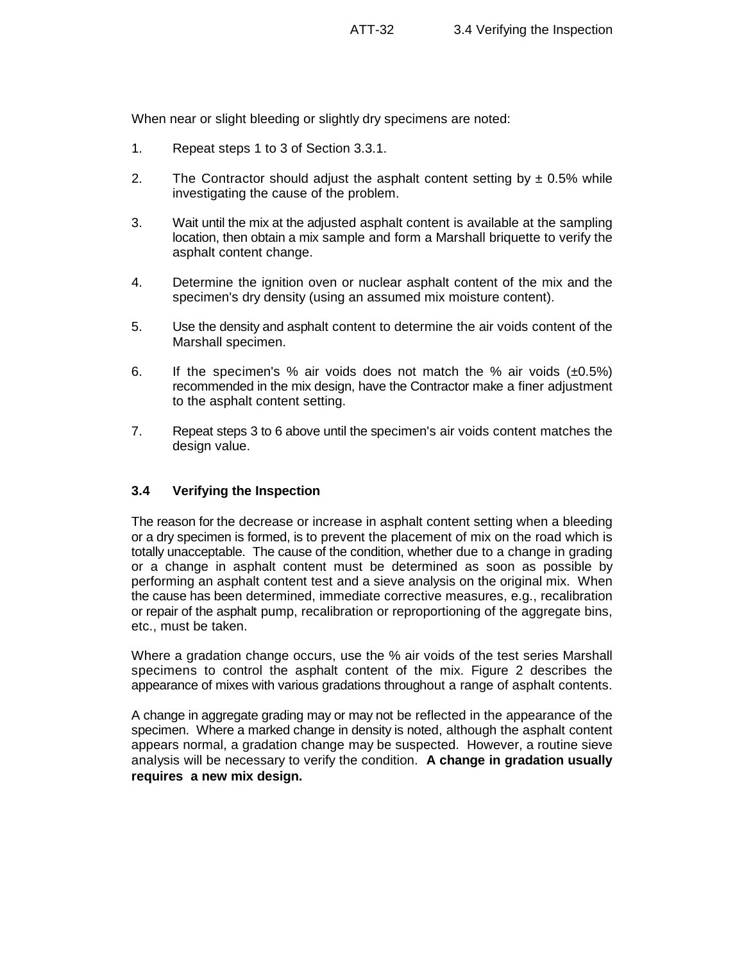When near or slight bleeding or slightly dry specimens are noted:

- 1. Repeat steps 1 to 3 of Section 3.3.1.
- 2. The Contractor should adjust the asphalt content setting by  $\pm$  0.5% while investigating the cause of the problem.
- 3. Wait until the mix at the adjusted asphalt content is available at the sampling location, then obtain a mix sample and form a Marshall briquette to verify the asphalt content change.
- 4. Determine the ignition oven or nuclear asphalt content of the mix and the specimen's dry density (using an assumed mix moisture content).
- 5. Use the density and asphalt content to determine the air voids content of the Marshall specimen.
- 6. If the specimen's % air voids does not match the % air voids  $(\pm 0.5\%)$ recommended in the mix design, have the Contractor make a finer adjustment to the asphalt content setting.
- 7. Repeat steps 3 to 6 above until the specimen's air voids content matches the design value.

### **3.4 Verifying the Inspection**

The reason for the decrease or increase in asphalt content setting when a bleeding or a dry specimen is formed, is to prevent the placement of mix on the road which is totally unacceptable. The cause of the condition, whether due to a change in grading or a change in asphalt content must be determined as soon as possible by performing an asphalt content test and a sieve analysis on the original mix. When the cause has been determined, immediate corrective measures, e.g., recalibration or repair of the asphalt pump, recalibration or reproportioning of the aggregate bins, etc., must be taken.

Where a gradation change occurs, use the % air voids of the test series Marshall specimens to control the asphalt content of the mix. Figure 2 describes the appearance of mixes with various gradations throughout a range of asphalt contents.

A change in aggregate grading may or may not be reflected in the appearance of the specimen. Where a marked change in density is noted, although the asphalt content appears normal, a gradation change may be suspected. However, a routine sieve analysis will be necessary to verify the condition. **A change in gradation usually requires a new mix design.**